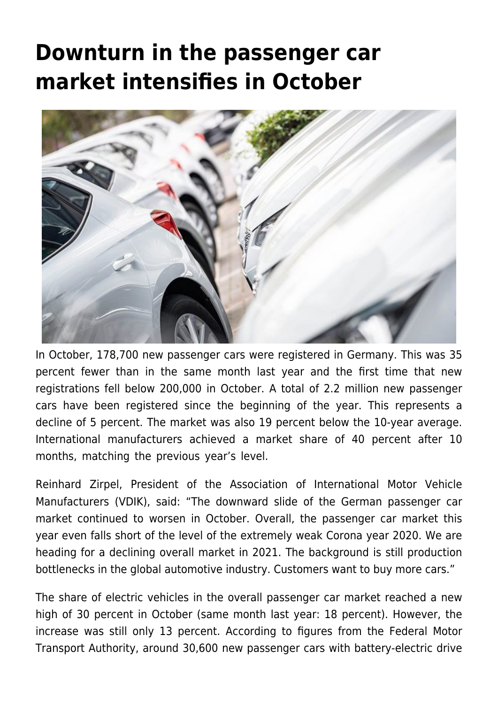## **[Downturn in the passenger car](https://www.vdik.de/en/2021/downturn-in-the-passenger-car-market-intensifies-in-october/) [market intensifies in October](https://www.vdik.de/en/2021/downturn-in-the-passenger-car-market-intensifies-in-october/)**



In October, 178,700 new passenger cars were registered in Germany. This was 35 percent fewer than in the same month last year and the first time that new registrations fell below 200,000 in October. A total of 2.2 million new passenger cars have been registered since the beginning of the year. This represents a decline of 5 percent. The market was also 19 percent below the 10-year average. International manufacturers achieved a market share of 40 percent after 10 months, matching the previous year's level.

Reinhard Zirpel, President of the Association of International Motor Vehicle Manufacturers (VDIK), said: "The downward slide of the German passenger car market continued to worsen in October. Overall, the passenger car market this year even falls short of the level of the extremely weak Corona year 2020. We are heading for a declining overall market in 2021. The background is still production bottlenecks in the global automotive industry. Customers want to buy more cars."

The share of electric vehicles in the overall passenger car market reached a new high of 30 percent in October (same month last year: 18 percent). However, the increase was still only 13 percent. According to figures from the Federal Motor Transport Authority, around 30,600 new passenger cars with battery-electric drive